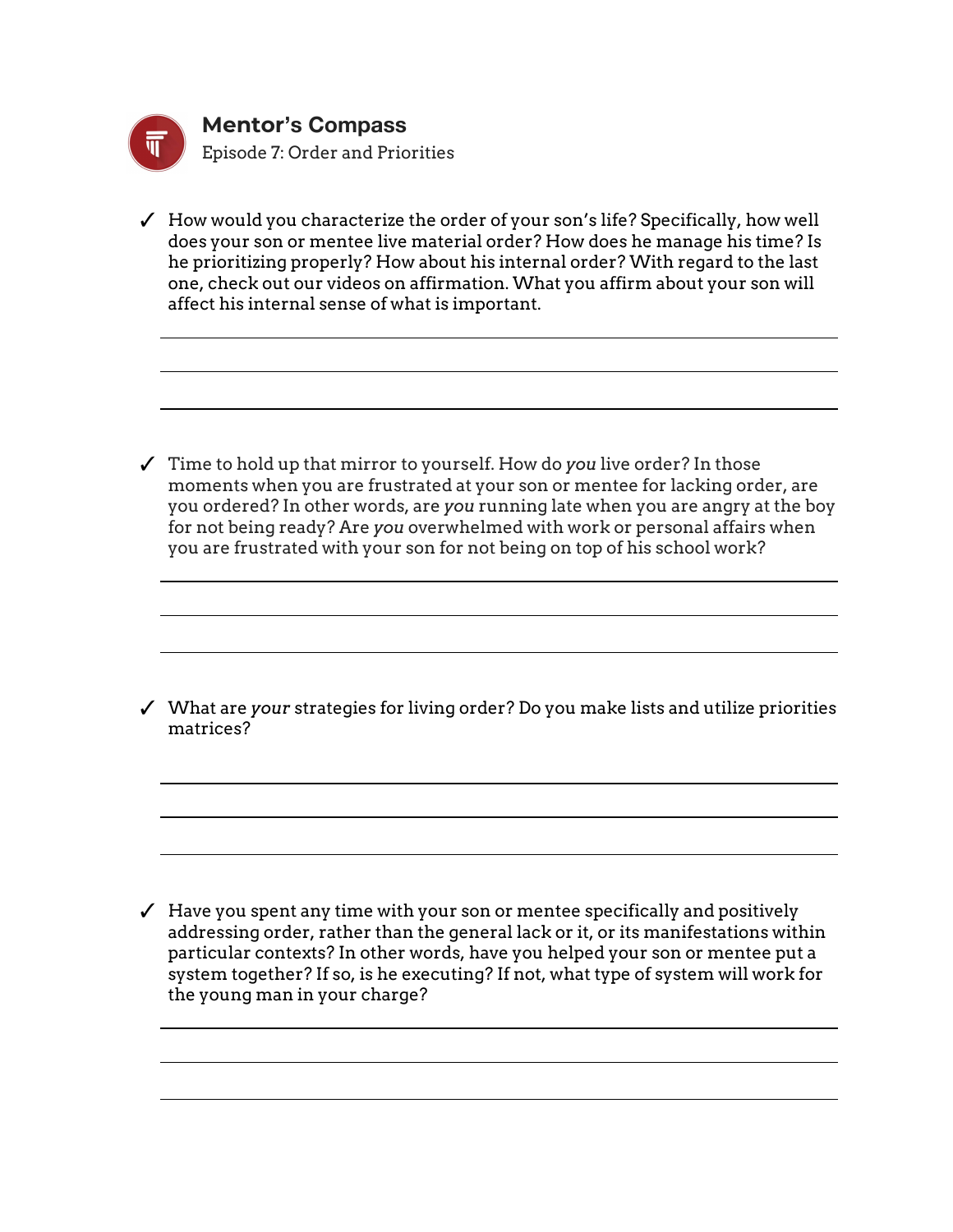

✓ How would you characterize the order of your son's life? Specifically, how well does your son or mentee live material order? How does he manage his time? Is he prioritizing properly? How about his internal order? With regard to the last one, check out our videos on affirmation. What you affirm about your son will affect his internal sense of what is important.

✓ Time to hold up that mirror to yourself. How do *you* live order? In those moments when you are frustrated at your son or mentee for lacking order, are you ordered? In other words, are *you* running late when you are angry at the boy for not being ready? Are *you* overwhelmed with work or personal affairs when you are frustrated with your son for not being on top of his school work?

✓ What are *your* strategies for living order? Do you make lists and utilize priorities matrices?

 $\checkmark$  Have you spent any time with your son or mentee specifically and positively addressing order, rather than the general lack or it, or its manifestations within particular contexts? In other words, have you helped your son or mentee put a system together? If so, is he executing? If not, what type of system will work for the young man in your charge?